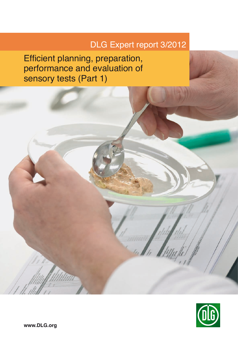# DLG Expert report 3/2012

Efficient planning, preparation, performance and evaluation of sensory tests (Part 1)

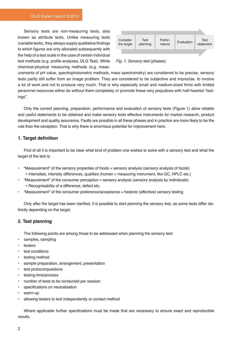Sensory tests are non-measuring tests, also known as attribute tests. Unlike measuring tests (variable tests), they always supply qualitative findings to which figures are only allocated subsequently with the help of a test scale in the case of certain individual test methods (e.g. profile analyses, DLG Test). While chemical-physical measuring methods (e.g. meas-



*Fig. 1: Sensory test (phases)*

urements of pH value, spectrophotometric methods, mass spectrometry) are considered to be precise, sensory tests partly still suffer from an image problem. They are considered to be subjective and imprecise, to involve a lot of work and not to produce very much. That is why especially small and medium-sized firms with limited personnel resources either do without them completely or promote these very prejudices with half-hearted "tastings".

Only the correct planning, preparation, performance and evaluation of sensory tests (Figure 1) allow reliable and useful statements to be obtained and make sensory tests effective instruments for market research, product development and quality assurance. Faults are possible in all these phases and in practice are more likely to be the rule than the exception. That is why there is enormous potential for improvement here.

# **1. Target definition**

First of all it is important to be clear what kind of problem one wishes to solve with a sensory test and what the target of the test is:

- "Measurement" of the sensory properties of foods = sensory analysis (sensory analysis of foods)  $\rightarrow$  Intensities, intensity differences, qualities (human = measuring instrument, like GC, HPLC etc.)
- "Measurement" of the consumer perception = sensory analysis (sensory analysis by individuals)  $\rightarrow$  Recognisability of a difference, defect etc.
- "Measurement" of the consumer preference/acceptance = hedonic (affective) sensory testing

Only after the target has been clarified, it is possible to start planning the sensory test, as some tests differ distinctly depending on the target.

# **2. Test planning**

The following points are among those to be addressed when planning the sensory test:

- samples, sampling
- **testers**
- test conditions
- testing method
- sample preparation, arrangement, presentation
- test protocol/questions
- testing time/process
- number of tests to be conducted per session
- specifications on neutralisation
- warm-up
- allowing testers to test independently or contact method

Where applicable further specifications must be made that are necessary to ensure exact and reproducible results.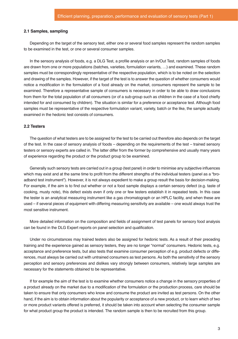#### **2.1 Samples, sampling**

Depending on the target of the sensory test, either one or several food samples represent the random samples to be examined in the test, or one or several consumer samples.

In the sensory analysis of foods, e.g. a DLG Test, a profile analysis or an In/Out Test, random samples of foods are drawn from one or more populations (batches, varieties, formulation variants, …) and examined. These random samples must be correspondingly representative of the respective population, which is to be noted on the selection and drawing of the samples. However, if the target of the test is to answer the question of whether consumers would notice a modification in the formulation of a food already on the market, consumers represent the sample to be examined. Therefore a representative sample of consumers is necessary in order to be able to draw conclusions from them for the total population of all consumers (or of a sub-group such as children in the case of a food chiefly intended for and consumed by children). The situation is similar for a preference or acceptance test. Although food samples must be representative of the respective formulation variant, variety, batch or the like, the sample actually examined in the hedonic test consists of consumers.

#### **2.2 Testers**

The question of what testers are to be assigned for the test to be carried out therefore also depends on the target of the test. In the case of sensory analysis of foods – depending on the requirements of the test – trained sensory testers or sensory experts are called in. The latter differ from the former by comprehensive and usually many years of experience regarding the product or the product group to be examined.

Generally such sensory tests are carried out in a group (test panel) in order to minimise any subjective influences which may exist and at the same time to profit from the different strengths of the individual testers (panel as a "broadband test instrument"). However, it is not always expedient to make a group result the basis for decision-making. For example, if the aim is to find out whether or not a food sample displays a certain sensory defect (e.g. taste of cooking, musty note), this defect exists even if only one or few testers establish it in repeated tests. In this case the tester is an analytical measuring instrument like a gas chromatograph or an HPLC facility, and when these are used – if several pieces of equipment with differing measuring sensitivity are available – one would always trust the most sensitive instrument.

More detailed information on the composition and fields of assignment of test panels for sensory food analysis can be found in the DLG Expert reports on panel selection and qualification.

Under no circumstances may trained testers also be assigned for hedonic tests. As a result of their preceding training and the experience gained as sensory testers, they are no longer "normal" consumers. Hedonic tests, e.g. acceptance and preference tests, but also tests that examine consumer perception of e.g. product defects or differences, must always be carried out with untrained consumers as test persons. As both the sensitivity of the sensory perception and sensory preferences and dislikes vary strongly between consumers, relatively large samples are necessary for the statements obtained to be representative.

If for example the aim of the test is to examine whether consumers notice a change in the sensory properties of a product already on the market due to a modification of the formulation or the production process, care should be taken to ensure that only consumers who know and consume the product are invited as test persons. On the other hand, if the aim is to obtain information about the popularity or acceptance of a new product, or to learn which of two or more product variants offered is preferred, it should be taken into account when selecting the consumer sample for what product group the product is intended. The random sample is then to be recruited from this group.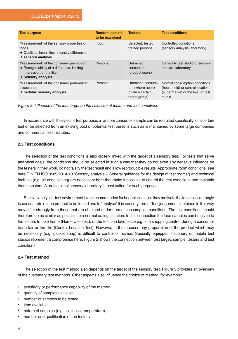### DLG Expert report 3/2012

| <b>Test purpose</b>                                                                                                                                            | <b>Random sample</b><br>to be examined | <b>Testers</b>                                                              | <b>Test conditions</b>                                                                                          |
|----------------------------------------------------------------------------------------------------------------------------------------------------------------|----------------------------------------|-----------------------------------------------------------------------------|-----------------------------------------------------------------------------------------------------------------|
| "Measurement" of the sensory properties of<br>foods<br>$\rightarrow$ Qualities, intensities, intensity differences<br>$\rightarrow$ sensory analysis           | Food                                   | Selected, tested,<br>trained persons                                        | Controlled conditions<br>(sensory analysis laboratory)                                                          |
| "Measurement" of the consumer perception<br>$\rightarrow$ Recognisability of a difference, lacking<br>impression or the like<br>$\rightarrow$ Sensory analysis | Persons                                | Untrained<br>consumers<br>(product users)                                   | Generally test studio or sensory<br>analysis laboratory                                                         |
| "Measurement" of the consumer preference/<br>acceptance<br>$\rightarrow$ hedonic sensory analysis                                                              | Persons                                | Untrained consum-<br>ers (where appro-<br>priate a certain<br>target group) | Normal consumption conditions<br>(household) or central location<br>(supermarket or the like) or test<br>studio |

Figure 2: Influence of the test target on the selection of testers and test conditions

In accordance with the specific test purpose, a random consumer sample can be recruited specifically for a certain test or be selected from an existing pool of potential test persons such as is maintained by some large companies and commercial test institutes.

# **2.3 Test conditions**

The selection of the test conditions is also closely linked with the target of a sensory test. For tests that serve analytical goals, the conditions should be selected in such a way that they do not exert any negative influence on the testers in their work, do not falsify the test result and allow reproducible results. Appropriate room conditions (see here DIN EN ISO 8589:2014-10 "Sensory analysis – General guidance for the design of test rooms") and technical facilities (e.g. air conditioning) are necessary here that make it possible to control the test conditions and maintain them constant. A professional sensory laboratory is best suited for such purposes.

Such an analytical test environment is not recommended for hedonic tests, as they motivate the testers too strongly to concentrate on the product to be tested and to "analyse" it in sensory terms. Test judgements obtained in this way may differ strongly from those that are obtained under normal consumption conditions. The test conditions should therefore be as similar as possible to a normal eating situation. In this connection the food samples can be given to the testers to take home (Home Use Test), or the test can take place e.g. in a shopping centre, during a consumer trade fair or the like (Central Location Test). However, in these cases any preparation of the product which may be necessary (e.g. packet soup) is difficult to control or realise. Specially equipped stationary or mobile test studios represent a compromise here. Figure 2 shows the connection between test target, sample, testers and test conditions.

### **2.4 Test method**

The selection of the test method also depends on the target of the sensory test. Figure 3 provides an overview of the customary test methods. Other aspects also influence the choice of method, for example:

- sensitivity or performance capability of the method
- quantity of samples available
- number of samples to be tested
- time available
- nature of samples (e.g. spiciness, temperature)
- number and qualification of the testers.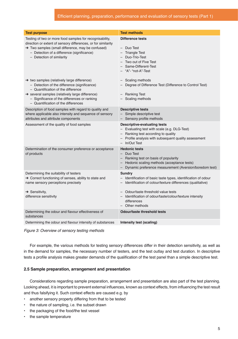| <b>Test purpose</b>                                                                                                                                                                                                                                                                     | <b>Test methods</b>                                                                                                                                                                                  |
|-----------------------------------------------------------------------------------------------------------------------------------------------------------------------------------------------------------------------------------------------------------------------------------------|------------------------------------------------------------------------------------------------------------------------------------------------------------------------------------------------------|
| Testing of two or more food samples for recognisability,<br>direction or extent of sensory differences, or for similarity<br>→ Two samples (small difference, may be confused)<br>- Detection of a difference (significance)<br>- Detection of similarity                               | <b>Difference tests</b><br>- Duo Test<br>- Triangle Test<br>- Duo-Trio-Test<br>- Two out of Five Test<br>- Same-Different-Test<br>- "A"- "not-A"-Test                                                |
| $\rightarrow$ two samples (relatively large difference)<br>- Detection of the difference (significance)<br>- Quantification of the difference<br>→ several samples (relatively large difference)<br>- Significance of the differences or ranking<br>- Quantification of the differences | - Scaling methods<br>Degree of Difference Test (Difference to Control Test)<br>- Ranking Test<br>- Scaling methods                                                                                   |
| Description of food samples with regard to quality and<br>where applicable also intensity and sequence of sensory<br>attributes and attribute components                                                                                                                                | <b>Descriptive tests</b><br>- Simple descriptive test<br>- Sensory profile methods                                                                                                                   |
| Assessment of the quality of food samples                                                                                                                                                                                                                                               | <b>Descriptive-evaluating tests</b><br>- Evaluating test with scale (e.g. DLG-Test)<br>- Ranking test according to quality<br>- Profile analysis with subsequent quality assessment<br>- In/Out Test |
| Determination of the consumer preference or acceptance<br>of products                                                                                                                                                                                                                   | <b>Hedonic tests</b><br>- Duo Test<br>- Ranking test on basis of popularity<br>- Hedonic scaling methods (acceptance tests)<br>Dynamic preference measurement (Aversion/boredom test)                |
| Determining the suitability of testers<br>→ Correct functioning of senses, ability to state and<br>name sensory perceptions precisely                                                                                                                                                   | <b>Sundry</b><br>- Identification of basic taste types, identification of odour<br>- Identification of colour/texture differences (qualitative)                                                      |
| $\rightarrow$ Sensitivity,<br>difference sensitivity                                                                                                                                                                                                                                    | - Odour/taste threshold value tests<br>Identification of odour/taste/colour/texture intensity<br>differences<br>- Other methods                                                                      |
| Determining the odour and flavour effectiveness of<br>substances                                                                                                                                                                                                                        | <b>Odour/taste threshold tests</b>                                                                                                                                                                   |
| Determining the odour and flavour intensity of substances                                                                                                                                                                                                                               | Intensity test (scaling)                                                                                                                                                                             |

Figure 3: Overview of sensory testing methods

For example, the various methods for testing sensory differences differ in their detection sensitivity, as well as in the demand for samples, the necessary number of testers, and the test outlay and test duration. In descriptive tests a profile analysis makes greater demands of the qualification of the test panel than a simple descriptive test.

# **2.5 Sample preparation, arrangement and presentation**

Considerations regarding sample preparation, arrangement and presentation are also part of the test planning. Looking ahead, it is important to prevent external influences, known as context effects, from influencing the test result and thus falsifying it. Such context effects are caused e.g. by

- another sensory property differing from that to be tested
- the nature of sampling, i.e. the subset drawn
- the packaging of the food/the test vessel
- the sample temperature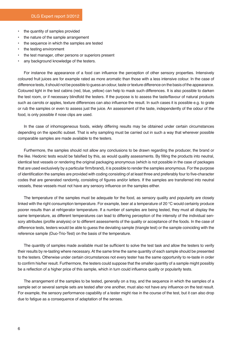- the quantity of samples provided
- the nature of the sample arrangement
- the sequence in which the samples are tested
- the testing environment
- the test manager, other persons or superiors present
- any background knowledge of the testers.

For instance the appearance of a food can influence the perception of other sensory properties. Intensively coloured fruit juices are for example rated as more aromatic than those with a less intensive colour. In the case of difference tests, it should not be possible to guess an odour, taste or texture difference on the basis of the appearance. Coloured light in the test cabins (red, blue, yellow) can help to mask such differences. It is also possible to darken the test room, or if necessary blindfold the testers. If the purpose is to assess the taste/flavour of natural products such as carrots or apples, texture differences can also influence the result. In such cases it is possible e.g. to grate or rub the samples or even to assess just the juice. An assessment of the taste, independently of the odour of the food, is only possible if nose clips are used.

In the case of inhomogeneous foods, widely differing results may be obtained under certain circumstances depending on the specific subset. That is why sampling must be carried out in such a way that wherever possible comparable samples are made available to the testers.

Furthermore, the samples should not allow any conclusions to be drawn regarding the producer, the brand or the like. Hedonic tests would be falsified by this, as would quality assessments. By filling the products into neutral, identical test vessels or rendering the original packaging anonymous (which is not possible in the case of packages that are used exclusively by a particular firm/brand), it is possible to render the samples anonymous. For the purpose of identification the samples are provided with coding consisting of at least three and preferably four to five-character codes that are generated randomly, consisting of figures and/or letters. If the samples are transferred into neutral vessels, these vessels must not have any sensory influence on the samples either.

The temperature of the samples must be adequate for the food, as sensory quality and popularity are closely linked with the right consumption temperature. For example, beer at a temperature of 20 °C would certainly produce poorer results than at refrigerator temperature. If a number of samples are being tested, they must all display the same temperature, as different temperatures can lead to differing perception of the intensity of the individual sensory attributes (profile analysis) or to different assessments of the quality or acceptance of the foods. In the case of difference tests, testers would be able to guess the deviating sample (triangle test) or the sample coinciding with the reference sample (Duo-Trio-Test) on the basis of the temperature.

The quantity of samples made available must be sufficient to solve the test task and allow the testers to verify their results by re-tasting where necessary. At the same time the same quantity of each sample should be presented to the testers. Otherwise under certain circumstances not every tester has the same opportunity to re-taste in order to confirm his/her result. Furthermore, the testers could suppose that the smaller quantity of a sample might possibly be a reflection of a higher price of this sample, which in turn could influence quality or popularity tests.

The arrangement of the samples to be tested, generally on a tray, and the sequence in which the samples of a sample set or several sample sets are tested after one another, must also not have any influence on the test result. For example, the sensory performance capability of a tester might rise in the course of the test, but it can also drop due to fatigue as a consequence of adaptation of the senses.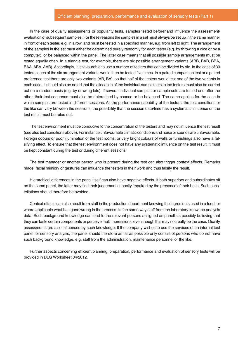#### Efficient planning, preparation, performance and evaluation of sensory tests (Part 1)

In the case of quality assessments or popularity tests, samples tested beforehand influence the assessment/ evaluation of subsequent samples. For these reasons the samples in a set must always be set up in the same manner in front of each tester, e.g. in a row, and must be tested in a specified manner, e.g. from left to right. The arrangement of the samples in the set must either be determined purely randomly for each tester (e.g. by throwing a dice or by a computer), or be balanced within the panel. The latter case means that all possible sample arrangements must be tested equally often. In a triangle test, for example, there are six possible arrangement variants (ABB, BAB, BBA, BAA, ABA, AAB). Accordingly, it is favourable to use a number of testers that can be divided by six. In the case of 30 testers, each of the six arrangement variants would then be tested five times. In a paired comparison test or a paired preference test there are only two variants (AB, BA), so that half of the testers would test one of the two variants in each case. It should also be noted that the allocation of the individual sample sets to the testers must also be carried out on a random basis (e.g. by drawing lots). If several individual samples or sample sets are tested one after the other, their test sequence must also be determined by chance or be balanced. The same applies for the case in which samples are tested in different sessions. As the performance capability of the testers, the test conditions or the like can vary between the sessions, the possibility that the session date/time has a systematic influence on the test result must be ruled out.

The test environment must be conducive to the concentration of the testers and may not influence the test result (see also test conditions above). For instance unfavourable climatic conditions and noise or sounds are unfavourable. Foreign odours or poor illumination of the test rooms, or very bright colours of walls or furnishings also have a falsifying effect. To ensure that the test environment does not have any systematic influence on the test result, it must be kept constant during the test or during different sessions.

The test manager or another person who is present during the test can also trigger context effects. Remarks made, facial mimicry or gestures can influence the testers in their work and thus falsify the result.

Hierarchical differences in the panel itself can also have negative effects. If both superiors and subordinates sit on the same panel, the latter may find their judgement capacity impaired by the presence of their boss. Such constellations should therefore be avoided.

Context effects can also result from staff in the production department knowing the ingredients used in a food, or where applicable what has gone wrong in the process. In the same way staff from the laboratory know the analysis data. Such background knowledge can lead to the relevant persons assigned as panellists possibly believing that they can taste certain components or perceive fault impressions, even though this may not really be the case. Quality assessments are also influenced by such knowledge. If the company wishes to use the services of an internal test panel for sensory analysis, the panel should therefore as far as possible only consist of persons who do not have such background knowledge, e.g. staff from the administration, maintenance personnel or the like.

Further aspects concerning efficient planning, preparation, performance and evaluation of sensory tests will be provided in DLG Worksheet 04/2012.